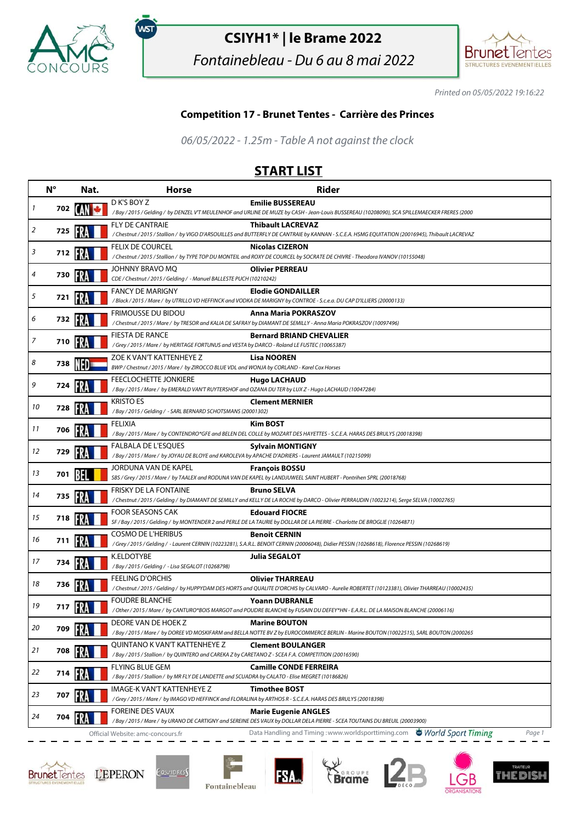

.<br>WST

## **CSIYH1\* | le Brame 2022**

Fontainebleau - Du 6 au 8 mai 2022



Printed on 05/05/2022 19:16:22

## **Competition 17 - Brunet Tentes - Carrière des Princes**

06/05/2022 - 1.25m - Table A not against the clock

## **START LIST**

|    | $N^{\circ}$    | Nat. | <b>Horse</b>                                                                                                                  | <b>Rider</b>                                                                                                                                                                 |
|----|----------------|------|-------------------------------------------------------------------------------------------------------------------------------|------------------------------------------------------------------------------------------------------------------------------------------------------------------------------|
| 1  | 702 <b>[A]</b> |      | D K'S BOY Z                                                                                                                   | <b>Emilie BUSSEREAU</b>                                                                                                                                                      |
|    |                |      |                                                                                                                               | /Bay/2015/Gelding/byDENZEL V'T MEULENHOF and URLINE DE MUZE by CASH - Jean-Louis BUSSEREAU (10208090), SCA SPILLEMAECKER FRERES (2000                                        |
| 2  | 725            |      | <b>FLY DE CANTRAIE</b>                                                                                                        | <b>Thibault LACREVAZ</b><br>/ Chestnut / 2015 / Stallion / by VIGO D'ARSOUILLES and BUTTERFLY DE CANTRAIE by KANNAN - S.C.E.A. HSMG EQUITATION (20016945), Thibault LACREVAZ |
|    |                |      | FELIX DE COURCEL                                                                                                              | <b>Nicolas CIZERON</b>                                                                                                                                                       |
| 3  | 712            | FRA  |                                                                                                                               | /Chestnut / 2015 / Stallion / by TYPE TOP DU MONTEIL and ROXY DE COURCEL by SOCRATE DE CHIVRE - Theodora IVANOV (10155048)                                                   |
| 4  | 730            |      | JOHNNY BRAVO MQ<br>CDE / Chestnut / 2015 / Gelding / - Manuel BALLESTE PUCH (10210242)                                        | <b>Olivier PERREAU</b>                                                                                                                                                       |
|    |                |      | <b>FANCY DE MARIGNY</b>                                                                                                       | <b>Elodie GONDAILLER</b>                                                                                                                                                     |
| 5  | 721            | FRA  |                                                                                                                               | /Black / 2015 / Mare / by UTRILLO VD HEFFINCK and VODKA DE MARIGNY by CONTROE - S.c.e.a. DU CAP D'ILLIERS (20000133)                                                         |
| 6  | 732 <b>PM</b>  |      | <b>FRIMOUSSE DU BIDOU</b>                                                                                                     | <b>Anna Maria POKRASZOV</b><br>/ Chestnut / 2015 / Mare / by TRESOR and KALIA DE SAFRAY by DIAMANT DE SEMILLY - Anna Maria POKRASZOV (10097496)                              |
|    |                |      | <b>FIESTA DE RANCE</b>                                                                                                        | <b>Bernard BRIAND CHEVALIER</b>                                                                                                                                              |
| 7  | 710            |      | /Grey / 2015 / Mare / by HERITAGE FORTUNUS and VESTA by DARCO - Roland LE FUSTEC (10065387)                                   |                                                                                                                                                                              |
| 8  | 738            |      | ZOE K VAN'T KATTENHEYE Z                                                                                                      | <b>Lisa NOOREN</b>                                                                                                                                                           |
|    |                |      | BWP / Chestnut / 2015 / Mare / by ZIROCCO BLUE VDL and WONJA by CORLAND - Karel Cox Horses                                    |                                                                                                                                                                              |
| 9  | 724            |      | FEECLOCHETTE JONKIERE<br>/Bay / 2015 / Mare / by EMERALD VAN'T RUYTERSHOF and OZANA DU TER by LUX Z - Hugo LACHAUD (10047284) | <b>Hugo LACHAUD</b>                                                                                                                                                          |
|    |                |      | <b>KRISTO ES</b>                                                                                                              | <b>Clement MERNIER</b>                                                                                                                                                       |
| 10 | 728            |      | /Bay / 2015 / Gelding / - SARL BERNARD SCHOTSMANS (20001302)                                                                  |                                                                                                                                                                              |
|    |                |      | FELIXIA                                                                                                                       | Kim BOST                                                                                                                                                                     |
| 11 | 706            |      |                                                                                                                               | /Bay / 2015 / Mare / by CONTENDRO*GFE and BELEN DEL COLLE by MOZART DES HAYETTES - S.C.E.A. HARAS DES BRULYS (20018398)                                                      |
| 12 | 729            |      | FALBALA DE L'ESQUES                                                                                                           | <b>Sylvain MONTIGNY</b>                                                                                                                                                      |
|    |                |      | /Bay / 2015 / Mare / by JOYAU DE BLOYE and KAROLEVA by APACHE D'ADRIERS - Laurent JAMAULT (10215099)                          |                                                                                                                                                                              |
| 13 | 701            |      | JORDUNA VAN DE KAPEL                                                                                                          | <b>François BOSSU</b><br>SBS / Grey / 2015 / Mare / by TAALEX and RODUNA VAN DE KAPEL by LANDJUWEEL SAINT HUBERT - Pontrihen SPRL (20018768)                                 |
|    |                |      | <b>FRISKY DE LA FONTAINE</b>                                                                                                  | <b>Bruno SELVA</b>                                                                                                                                                           |
| 14 | 735            | FRA  |                                                                                                                               | /Chestnut/2015/Gelding/by DIAMANT DE SEMILLY and KELLY DE LA ROCHE by DARCO - Olivier PERRAUDIN (10023214), Serge SELVA (10002765)                                           |
| 15 | 718 FV         |      | <b>FOOR SEASONS CAK</b>                                                                                                       | <b>Edouard FIOCRE</b>                                                                                                                                                        |
|    |                |      |                                                                                                                               | SF / Bay / 2015 / Gelding / by MONTENDER 2 and PERLE DE LA TAURIE by DOLLAR DE LA PIERRE - Charlotte DE BROGLIE (10264871)                                                   |
| 16 | 711            |      | <b>COSMO DE L'HERIBUS</b>                                                                                                     | <b>Benoit CERNIN</b>                                                                                                                                                         |
|    |                |      |                                                                                                                               | /Grey / 2015 / Gelding / - Laurent CERNIN (10223281), S.A.R.L. BENOIT CERNIN (20006048), Didier PESSIN (10268618), Florence PESSIN (10268619)                                |
| 17 | 734            |      | K.ELDOTYBE<br>/Bay / 2015 / Gelding / - Lisa SEGALOT (10268798)                                                               | Julia SEGALOT                                                                                                                                                                |
|    |                |      | <b>FEELING D'ORCHIS</b>                                                                                                       | <b>Olivier THARREAU</b>                                                                                                                                                      |
| 18 | 736            |      |                                                                                                                               | /Chestnut/2015/Gelding/by HUPPYDAM DES HORTS and QUALITE D'ORCHIS by CALVARO - Aurelie ROBERTET (10123381), Olivier THARREAU (10002435)                                      |
| 19 | 717            |      | <b>FOUDRE BLANCHE</b>                                                                                                         | <b>Yoann DUBRANLE</b>                                                                                                                                                        |
|    |                |      |                                                                                                                               | /Other/2015/Mare/ by CANTURO*BOIS MARGOT and POUDRE BLANCHE by FUSAIN DU DEFEY*HN - E.A.R.L. DE LA MAISON BLANCHE (20006116)                                                 |
| 20 | 709            |      | DEORE VAN DE HOEK Z                                                                                                           | <b>Marine BOUTON</b><br>/Bay / 2015 / Mare / by DOREE VD MOSKIFARM and BELLA NOTTE BV Z by EUROCOMMERCE BERLIN - Marine BOUTON (10022515), SARL BOUTON (2000265              |
|    |                |      | QUINTANO K VAN'T KATTENHEYE Z                                                                                                 | <b>Clement BOULANGER</b>                                                                                                                                                     |
| 21 | 708 3          |      | / Bay / 2015 / Stallion / by QUINTERO and CAREKA Z by CARETANO Z - SCEA F.A. COMPETITION (20016590)                           |                                                                                                                                                                              |
| 22 |                |      | <b>FLYING BLUE GEM</b>                                                                                                        | <b>Camille CONDE FERREIRA</b>                                                                                                                                                |
|    | 714            |      | / Bay / 2015 / Stallion / by MR FLY DE LANDETTE and SCUADRA by CALATO - Elise MEGRET (10186826)                               |                                                                                                                                                                              |
| 23 | 707            |      | IMAGE-K VAN'T KATTENHEYE Z                                                                                                    | <b>Timothee BOST</b>                                                                                                                                                         |
|    |                |      |                                                                                                                               | /Grey / 2015 / Mare / by IMAGO VD HEFFINCK and FLORALINA by ARTHOS R - S.C.E.A. HARAS DES BRULYS (20018398)                                                                  |
| 24 | 704 2          |      | <b>FOREINE DES VAUX</b>                                                                                                       | Marie Eugenie ANGLES<br>/Bay / 2015 / Mare / by URANO DE CARTIGNY and SEREINE DES VAUX by DOLLAR DELA PIERRE - SCEA TOUTAINS DU BREUIL (20003900)                            |
|    |                |      | Official Website: amc-concours.fr                                                                                             | Data Handling and Timing : www.worldsporttiming.com World Sport Timing<br>Page 1                                                                                             |







**FSA**